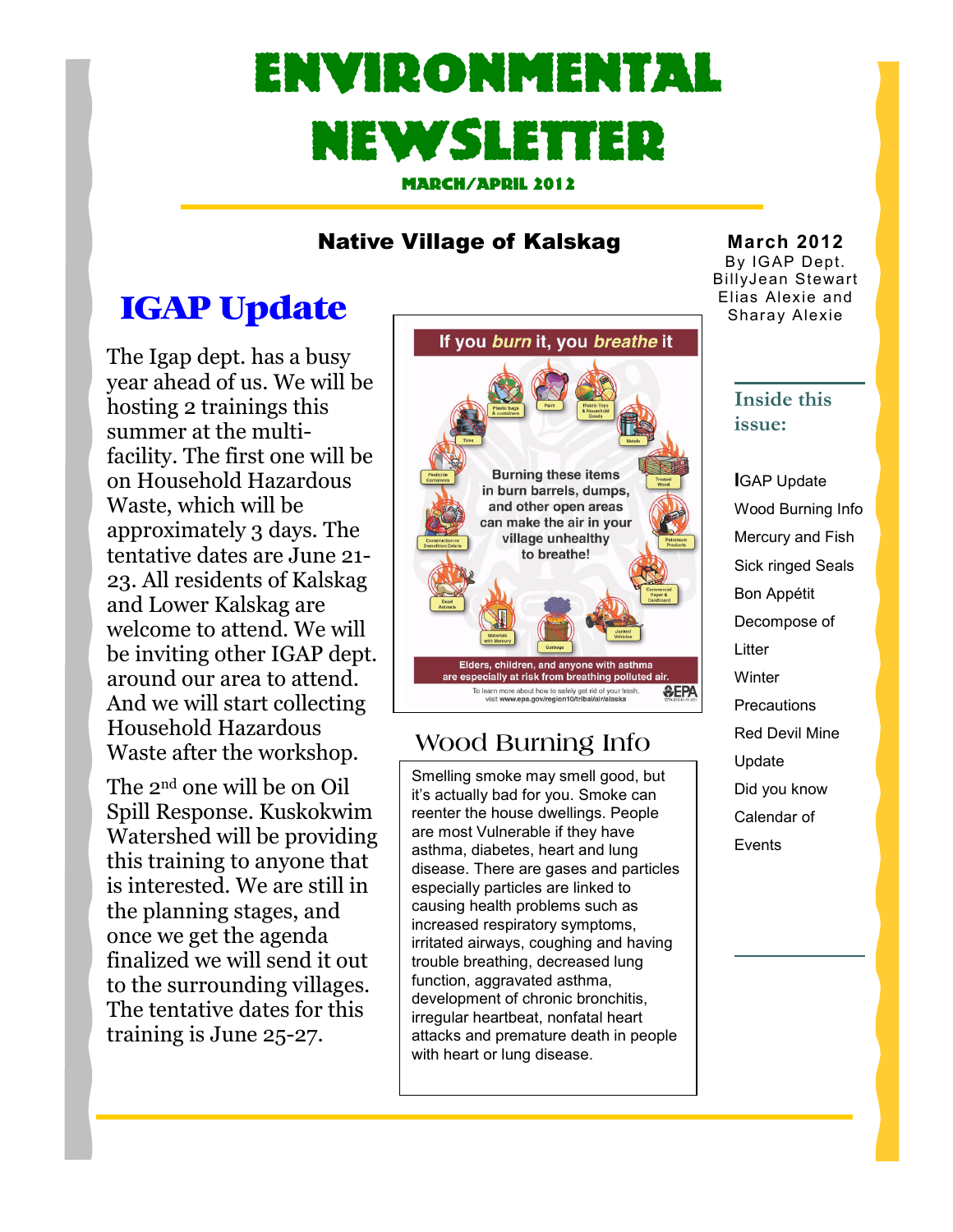# Environmental Newsletter

March/April 2012

#### Native Village of Kalskag

### IGAP Update

The Igap dept. has a busy year ahead of us. We will be hosting 2 trainings this summer at the multifacility. The first one will be on Household Hazardous Waste, which will be approximately 3 days. The tentative dates are June 21- 23. All residents of Kalskag and Lower Kalskag are welcome to attend. We will be inviting other IGAP dept. around our area to attend. And we will start collecting Household Hazardous Waste after the workshop.

The 2nd one will be on Oil Spill Response. Kuskokwim Watershed will be providing this training to anyone that is interested. We are still in the planning stages, and once we get the agenda finalized we will send it out to the surrounding villages. The tentative dates for this training is June 25-27.



#### Wood Burning Info

Smelling smoke may smell good, but it's actually bad for you. Smoke can reenter the house dwellings. People are most Vulnerable if they have asthma, diabetes, heart and lung disease. There are gases and particles especially particles are linked to causing health problems such as increased respiratory symptoms, irritated airways, coughing and having trouble breathing, decreased lung function, aggravated asthma, development of chronic bronchitis, irregular heartbeat, nonfatal heart attacks and premature death in people with heart or lung disease.

March 2012 By IGAP Dept. BillyJean Stewart Elias Alexie and Sharay Alexie

#### Inside this issue:

IGAP Update Wood Burning Info Mercury and Fish Sick ringed Seals Bon Appétit Decompose of Litter **Winter Precautions** Red Devil Mine Update Did you know Calendar of Events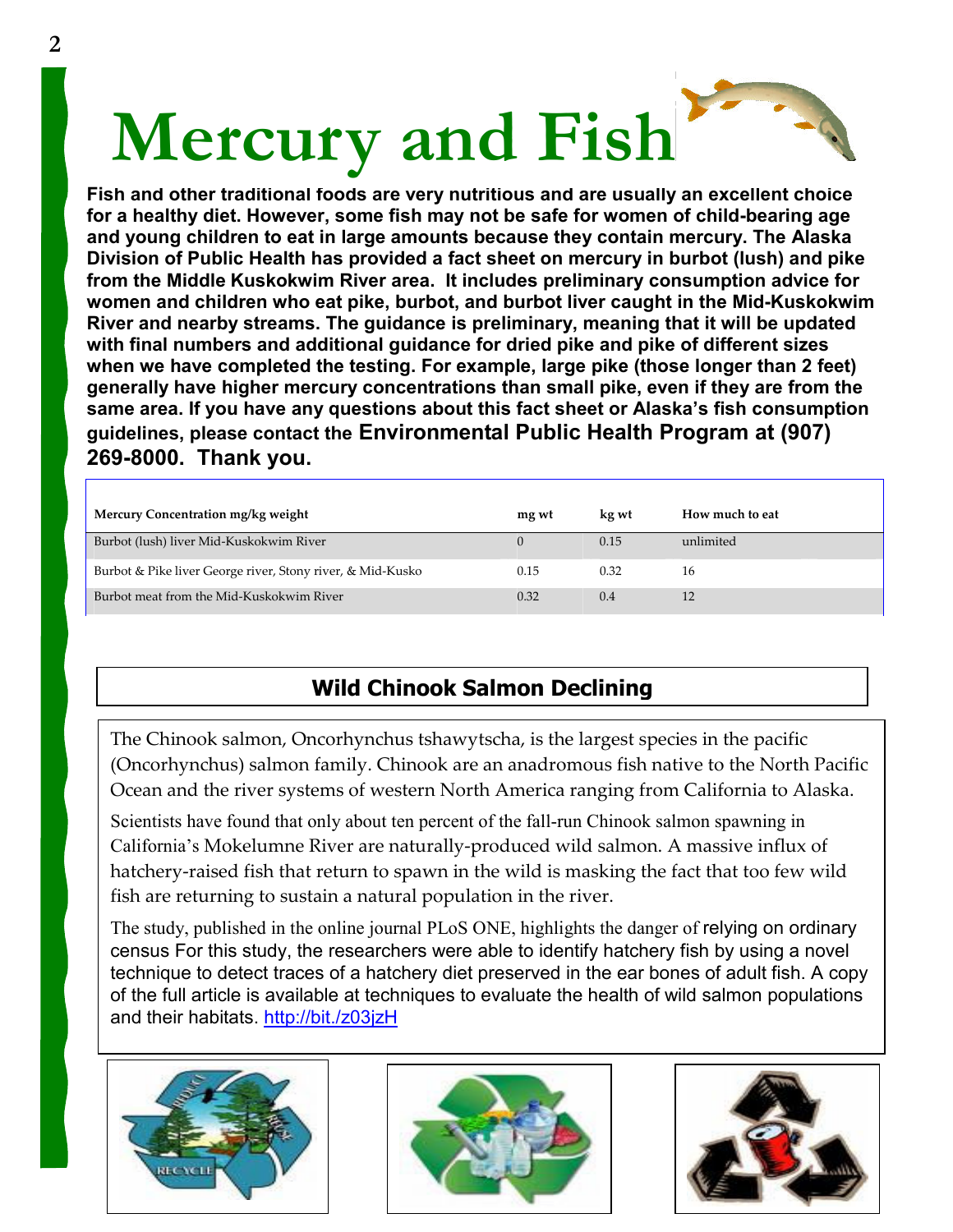# Mercury and Fish

Fish and other traditional foods are very nutritious and are usually an excellent choice for a healthy diet. However, some fish may not be safe for women of child-bearing age and young children to eat in large amounts because they contain mercury. The Alaska Division of Public Health has provided a fact sheet on mercury in burbot (lush) and pike from the Middle Kuskokwim River area. It includes preliminary consumption advice for women and children who eat pike, burbot, and burbot liver caught in the Mid-Kuskokwim River and nearby streams. The guidance is preliminary, meaning that it will be updated with final numbers and additional guidance for dried pike and pike of different sizes when we have completed the testing. For example, large pike (those longer than 2 feet) generally have higher mercury concentrations than small pike, even if they are from the same area. If you have any questions about this fact sheet or Alaska's fish consumption guidelines, please contact the Environmental Public Health Program at (907) 269-8000. Thank you.

| Mercury Concentration mg/kg weight                         | mg wt | kg wt | How much to eat |
|------------------------------------------------------------|-------|-------|-----------------|
| Burbot (lush) liver Mid-Kuskokwim River                    |       | 0.15  | unlimited       |
| Burbot & Pike liver George river, Stony river, & Mid-Kusko | 0.15  | 0.32  | 16              |
| Burbot meat from the Mid-Kuskokwim River                   | 0.32  | 0.4   |                 |

#### Wild Chinook Salmon Declining

The Chinook salmon, Oncorhynchus tshawytscha, is the largest species in the pacific (Oncorhynchus) salmon family. Chinook are an anadromous fish native to the North Pacific Ocean and the river systems of western North America ranging from California to Alaska.

Scientists have found that only about ten percent of the fall-run Chinook salmon spawning in California's Mokelumne River are naturally-produced wild salmon. A massive influx of hatchery-raised fish that return to spawn in the wild is masking the fact that too few wild fish are returning to sustain a natural population in the river.

The study, published in the online journal PLoS ONE, highlights the danger of relying on ordinary census For this study, the researchers were able to identify hatchery fish by using a novel technique to detect traces of a hatchery diet preserved in the ear bones of adult fish. A copy of the full article is available at techniques to evaluate the health of wild salmon populations and their habitats. http://bit./z03jzH





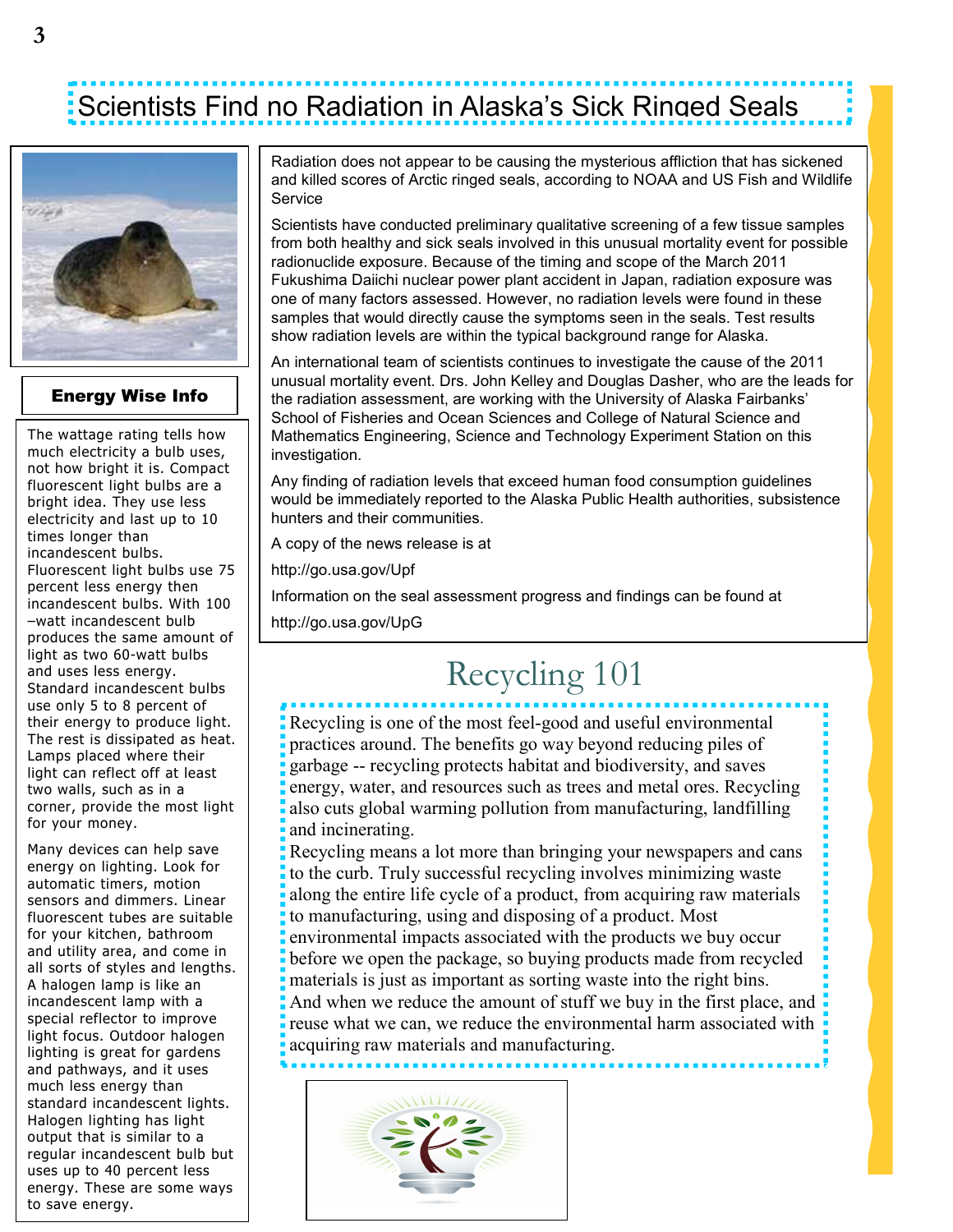### Scientists Find no Radiation in Alaska's Sick Ringed Seals



#### Energy Wise Info

The wattage rating tells how much electricity a bulb uses, not how bright it is. Compact fluorescent light bulbs are a bright idea. They use less electricity and last up to 10 times longer than incandescent bulbs. Fluorescent light bulbs use 75 percent less energy then incandescent bulbs. With 100 –watt incandescent bulb produces the same amount of light as two 60-watt bulbs and uses less energy. Standard incandescent bulbs use only 5 to 8 percent of their energy to produce light. The rest is dissipated as heat. Lamps placed where their light can reflect off at least two walls, such as in a corner, provide the most light for your money.

Many devices can help save energy on lighting. Look for automatic timers, motion sensors and dimmers. Linear fluorescent tubes are suitable for your kitchen, bathroom and utility area, and come in all sorts of styles and lengths. A halogen lamp is like an incandescent lamp with a special reflector to improve light focus. Outdoor halogen lighting is great for gardens and pathways, and it uses much less energy than standard incandescent lights. Halogen lighting has light output that is similar to a regular incandescent bulb but uses up to 40 percent less energy. These are some ways to save energy.

Radiation does not appear to be causing the mysterious affliction that has sickened and killed scores of Arctic ringed seals, according to NOAA and US Fish and Wildlife **Service** 

Scientists have conducted preliminary qualitative screening of a few tissue samples from both healthy and sick seals involved in this unusual mortality event for possible radionuclide exposure. Because of the timing and scope of the March 2011 Fukushima Daiichi nuclear power plant accident in Japan, radiation exposure was one of many factors assessed. However, no radiation levels were found in these samples that would directly cause the symptoms seen in the seals. Test results show radiation levels are within the typical background range for Alaska.

An international team of scientists continues to investigate the cause of the 2011 unusual mortality event. Drs. John Kelley and Douglas Dasher, who are the leads for the radiation assessment, are working with the University of Alaska Fairbanks' School of Fisheries and Ocean Sciences and College of Natural Science and Mathematics Engineering, Science and Technology Experiment Station on this investigation.

Any finding of radiation levels that exceed human food consumption guidelines would be immediately reported to the Alaska Public Health authorities, subsistence hunters and their communities.

A copy of the news release is at

http://go.usa.gov/Upf

Information on the seal assessment progress and findings can be found at

http://go.usa.gov/UpG

### Recycling 101

Recycling is one of the most feel-good and useful environmental practices around. The benefits go way beyond reducing piles of garbage -- recycling protects habitat and biodiversity, and saves energy, water, and resources such as trees and metal ores. Recycling also cuts global warming pollution from manufacturing, landfilling and incinerating.

Recycling means a lot more than bringing your newspapers and cans to the curb. Truly successful recycling involves minimizing waste along the entire life cycle of a product, from acquiring raw materials to manufacturing, using and disposing of a product. Most environmental impacts associated with the products we buy occur before we open the package, so buying products made from recycled materials is just as important as sorting waste into the right bins. And when we reduce the amount of stuff we buy in the first place, and reuse what we can, we reduce the environmental harm associated with acquiring raw materials and manufacturing.

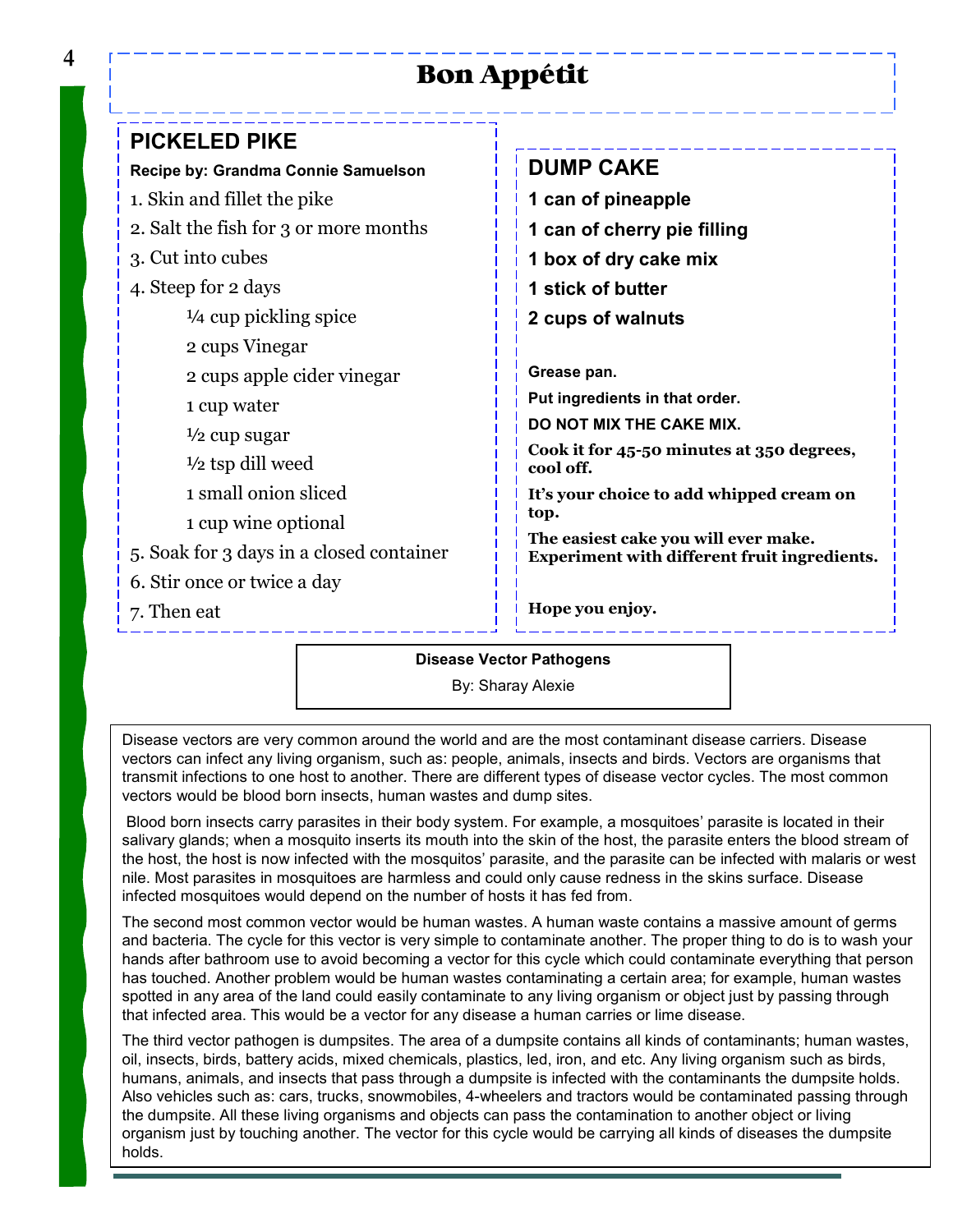#### Bon Appétit

| <b>PICKELED PIKE</b>                     |                                                                                             |
|------------------------------------------|---------------------------------------------------------------------------------------------|
| Recipe by: Grandma Connie Samuelson      | <b>DUMP CAKE</b>                                                                            |
| 1. Skin and fillet the pike              | 1 can of pineapple                                                                          |
| 2. Salt the fish for 3 or more months    | 1 can of cherry pie filling                                                                 |
| 3. Cut into cubes                        | 1 box of dry cake mix                                                                       |
| 4. Steep for 2 days                      | 1 stick of butter                                                                           |
| $\frac{1}{4}$ cup pickling spice         | 2 cups of walnuts                                                                           |
| 2 cups Vinegar                           |                                                                                             |
| 2 cups apple cider vinegar               | Grease pan.                                                                                 |
| 1 cup water                              | Put ingredients in that order.                                                              |
| $\frac{1}{2}$ cup sugar                  | DO NOT MIX THE CAKE MIX.                                                                    |
| $\frac{1}{2}$ tsp dill weed              | Cook it for 45-50 minutes at 350 degrees,<br>cool off.                                      |
| 1 small onion sliced                     | It's your choice to add whipped cream on                                                    |
| 1 cup wine optional                      | top.                                                                                        |
| 5. Soak for 3 days in a closed container | The easiest cake you will ever make.<br><b>Experiment with different fruit ingredients.</b> |
| 6. Stir once or twice a day              |                                                                                             |
| 7. Then eat                              | Hope you enjoy.                                                                             |
|                                          |                                                                                             |

Disease Vector Pathogens

By: Sharay Alexie

Disease vectors are very common around the world and are the most contaminant disease carriers. Disease vectors can infect any living organism, such as: people, animals, insects and birds. Vectors are organisms that transmit infections to one host to another. There are different types of disease vector cycles. The most common vectors would be blood born insects, human wastes and dump sites.

 Blood born insects carry parasites in their body system. For example, a mosquitoes' parasite is located in their salivary glands; when a mosquito inserts its mouth into the skin of the host, the parasite enters the blood stream of the host, the host is now infected with the mosquitos' parasite, and the parasite can be infected with malaris or west nile. Most parasites in mosquitoes are harmless and could only cause redness in the skins surface. Disease infected mosquitoes would depend on the number of hosts it has fed from.

The second most common vector would be human wastes. A human waste contains a massive amount of germs and bacteria. The cycle for this vector is very simple to contaminate another. The proper thing to do is to wash your hands after bathroom use to avoid becoming a vector for this cycle which could contaminate everything that person has touched. Another problem would be human wastes contaminating a certain area; for example, human wastes spotted in any area of the land could easily contaminate to any living organism or object just by passing through that infected area. This would be a vector for any disease a human carries or lime disease.

The third vector pathogen is dumpsites. The area of a dumpsite contains all kinds of contaminants; human wastes, oil, insects, birds, battery acids, mixed chemicals, plastics, led, iron, and etc. Any living organism such as birds, humans, animals, and insects that pass through a dumpsite is infected with the contaminants the dumpsite holds. Also vehicles such as: cars, trucks, snowmobiles, 4-wheelers and tractors would be contaminated passing through the dumpsite. All these living organisms and objects can pass the contamination to another object or living organism just by touching another. The vector for this cycle would be carrying all kinds of diseases the dumpsite holds.

4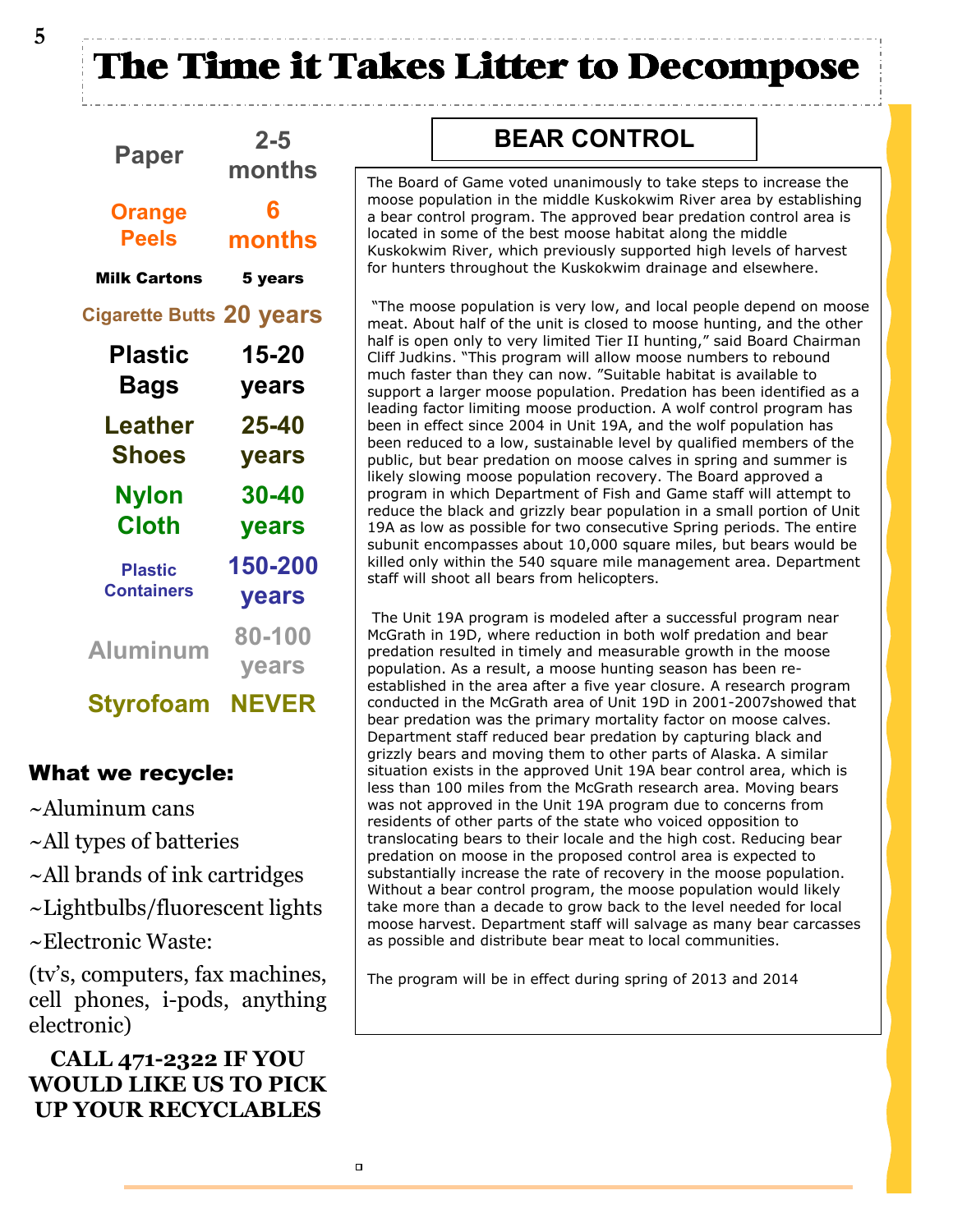The Time it Takes Litter to Decompose

| Paper                           | $2 - 5$<br>months |  |  |
|---------------------------------|-------------------|--|--|
| <b>Orange</b>                   | 6                 |  |  |
| <b>Peels</b>                    | months            |  |  |
| <b>Milk Cartons</b>             | 5 years           |  |  |
| <b>Cigarette Butts 20 years</b> |                   |  |  |
| Plastic                         | 15-20             |  |  |
| Bags                            | years             |  |  |
| Leather                         | 25-40             |  |  |
| <b>Shoes</b>                    | years             |  |  |
| Nylon                           | <b>30-40</b>      |  |  |
| <b>Cloth</b>                    | years             |  |  |
| <b>Plastic</b>                  | 150-200           |  |  |
| <b>Containers</b>               | years             |  |  |
| <b>Aluminum</b>                 | 80-100            |  |  |
|                                 | years             |  |  |

Styrofoam NEVER

#### What we recycle:

- ~Aluminum cans
- ~All types of batteries
- ~All brands of ink cartridges
- ~Lightbulbs/fluorescent lights
- ~Electronic Waste:

(tv's, computers, fax machines, cell phones, i-pods, anything electronic)

#### CALL 471-2322 IF YOU WOULD LIKE US TO PICK UP YOUR RECYCLABLES

#### BEAR CONTROL

The Board of Game voted unanimously to take steps to increase the moose population in the middle Kuskokwim River area by establishing a bear control program. The approved bear predation control area is located in some of the best moose habitat along the middle Kuskokwim River, which previously supported high levels of harvest for hunters throughout the Kuskokwim drainage and elsewhere.

 "The moose population is very low, and local people depend on moose meat. About half of the unit is closed to moose hunting, and the other half is open only to very limited Tier II hunting," said Board Chairman Cliff Judkins. "This program will allow moose numbers to rebound much faster than they can now. "Suitable habitat is available to support a larger moose population. Predation has been identified as a leading factor limiting moose production. A wolf control program has been in effect since 2004 in Unit 19A, and the wolf population has been reduced to a low, sustainable level by qualified members of the public, but bear predation on moose calves in spring and summer is likely slowing moose population recovery. The Board approved a program in which Department of Fish and Game staff will attempt to reduce the black and grizzly bear population in a small portion of Unit 19A as low as possible for two consecutive Spring periods. The entire subunit encompasses about 10,000 square miles, but bears would be killed only within the 540 square mile management area. Department staff will shoot all bears from helicopters.

 The Unit 19A program is modeled after a successful program near McGrath in 19D, where reduction in both wolf predation and bear predation resulted in timely and measurable growth in the moose population. As a result, a moose hunting season has been reestablished in the area after a five year closure. A research program conducted in the McGrath area of Unit 19D in 2001-2007showed that bear predation was the primary mortality factor on moose calves. Department staff reduced bear predation by capturing black and grizzly bears and moving them to other parts of Alaska. A similar situation exists in the approved Unit 19A bear control area, which is less than 100 miles from the McGrath research area. Moving bears was not approved in the Unit 19A program due to concerns from residents of other parts of the state who voiced opposition to translocating bears to their locale and the high cost. Reducing bear predation on moose in the proposed control area is expected to substantially increase the rate of recovery in the moose population. Without a bear control program, the moose population would likely take more than a decade to grow back to the level needed for local moose harvest. Department staff will salvage as many bear carcasses as possible and distribute bear meat to local communities.

The program will be in effect during spring of 2013 and 2014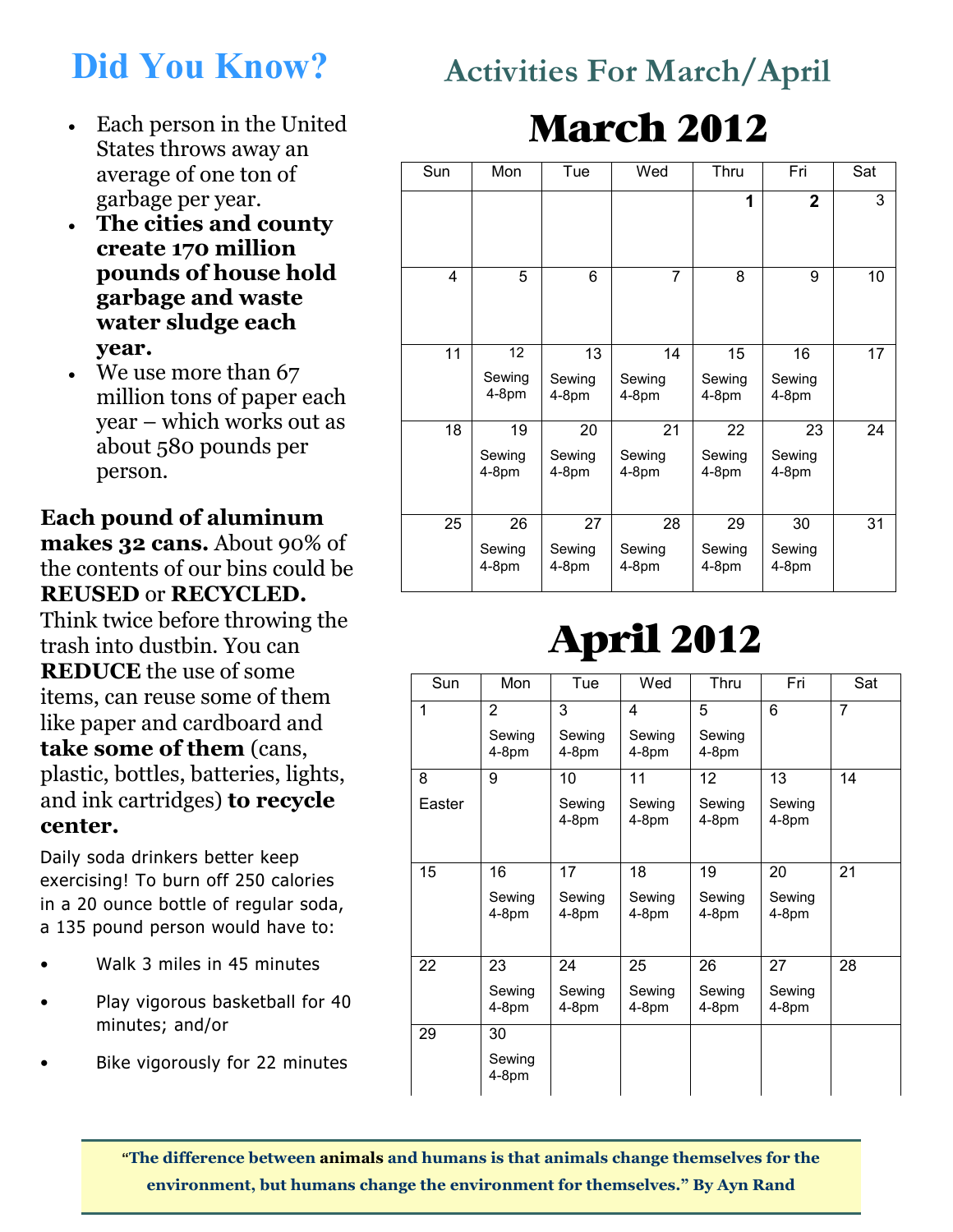### Did You Know?

- Each person in the United States throws away an average of one ton of garbage per year.
- The cities and county create 170 million pounds of house hold garbage and waste water sludge each year.
- We use more than 67 million tons of paper each year – which works out as about 580 pounds per person.

Each pound of aluminum makes 32 cans. About 90% of the contents of our bins could be REUSED or RECYCLED. Think twice before throwing the trash into dustbin. You can REDUCE the use of some items, can reuse some of them like paper and cardboard and take some of them (cans, plastic, bottles, batteries, lights, and ink cartridges) to recycle center.

Daily soda drinkers better keep exercising! To burn off 250 calories in a 20 ounce bottle of regular soda, a 135 pound person would have to:

- Walk 3 miles in 45 minutes
- Play vigorous basketball for 40 minutes; and/or
- Bike vigorously for 22 minutes

### Activities For March/April

## March 2012

| Sun | Mon                     | Tue                     | Wed                     | Thru                    | Fri                     | Sat |
|-----|-------------------------|-------------------------|-------------------------|-------------------------|-------------------------|-----|
|     |                         |                         |                         | 1                       | $\overline{2}$          | 3   |
| 4   | 5                       | 6                       | $\overline{7}$          | 8                       | 9                       | 10  |
| 11  | 12<br>Sewing<br>$4-8pm$ | 13<br>Sewing<br>4-8pm   | 14<br>Sewing<br>$4-8pm$ | 15<br>Sewing<br>$4-8pm$ | 16<br>Sewing<br>$4-8pm$ | 17  |
| 18  | 19<br>Sewing<br>4-8pm   | 20<br>Sewing<br>4-8pm   | 21<br>Sewing<br>$4-8pm$ | 22<br>Sewing<br>4-8pm   | 23<br>Sewing<br>4-8pm   | 24  |
| 25  | 26<br>Sewing<br>$4-8pm$ | 27<br>Sewing<br>$4-8pm$ | 28<br>Sewing<br>$4-8pm$ | 29<br>Sewing<br>$4-8pm$ | 30<br>Sewing<br>$4-8pm$ | 31  |

# April 2012

| Sun    | Mon             | Tue               | Wed               | Thru              | Fri               | Sat            |
|--------|-----------------|-------------------|-------------------|-------------------|-------------------|----------------|
| 1      | $\overline{2}$  | 3                 | 4                 | 5                 | 6                 | $\overline{7}$ |
|        | Sewing<br>4-8pm | Sewing<br>$4-8pm$ | Sewing<br>$4-8pm$ | Sewing<br>4-8pm   |                   |                |
| 8      | 9               | 10                | 11                | 12                | 13                | 14             |
| Easter |                 | Sewing<br>$4-8pm$ | Sewing<br>$4-8pm$ | Sewing<br>4-8pm   | Sewing<br>$4-8pm$ |                |
| 15     | 16              | 17                | 18                | 19                | 20                | 21             |
|        | Sewing<br>4-8pm | Sewing<br>$4-8pm$ | Sewing<br>$4-8pm$ | Sewing<br>$4-8pm$ | Sewing<br>4-8pm   |                |
| 22     | 23              | 24                | 25                | 26                | 27                | 28             |
|        | Sewing<br>4-8pm | Sewing<br>$4-8pm$ | Sewing<br>$4-8pm$ | Sewing<br>$4-8pm$ | Sewing<br>$4-8pm$ |                |
| 29     | 30              |                   |                   |                   |                   |                |
|        | Sewing<br>4-8pm |                   |                   |                   |                   |                |

"The difference between animals and humans is that animals change themselves for the environment, but humans change the environment for themselves." By Ayn Rand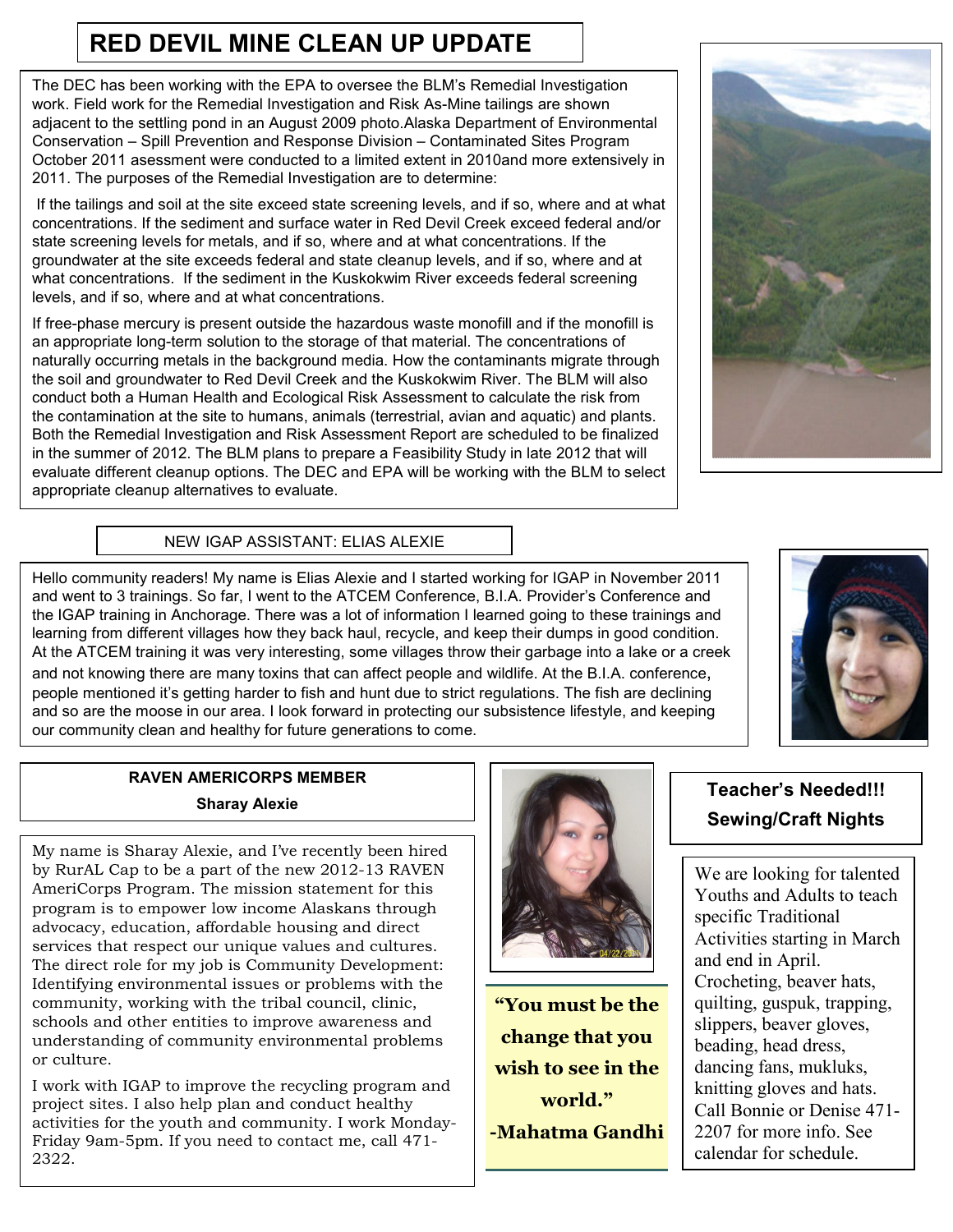#### RED DEVIL MINE CLEAN UP UPDATE

The DEC has been working with the EPA to oversee the BLM's Remedial Investigation work. Field work for the Remedial Investigation and Risk As-Mine tailings are shown adjacent to the settling pond in an August 2009 photo.Alaska Department of Environmental Conservation – Spill Prevention and Response Division – Contaminated Sites Program October 2011 asessment were conducted to a limited extent in 2010and more extensively in 2011. The purposes of the Remedial Investigation are to determine:

 If the tailings and soil at the site exceed state screening levels, and if so, where and at what concentrations. If the sediment and surface water in Red Devil Creek exceed federal and/or state screening levels for metals, and if so, where and at what concentrations. If the groundwater at the site exceeds federal and state cleanup levels, and if so, where and at what concentrations. If the sediment in the Kuskokwim River exceeds federal screening levels, and if so, where and at what concentrations.

If free-phase mercury is present outside the hazardous waste monofill and if the monofill is an appropriate long-term solution to the storage of that material. The concentrations of naturally occurring metals in the background media. How the contaminants migrate through the soil and groundwater to Red Devil Creek and the Kuskokwim River. The BLM will also conduct both a Human Health and Ecological Risk Assessment to calculate the risk from the contamination at the site to humans, animals (terrestrial, avian and aquatic) and plants. Both the Remedial Investigation and Risk Assessment Report are scheduled to be finalized in the summer of 2012. The BLM plans to prepare a Feasibility Study in late 2012 that will evaluate different cleanup options. The DEC and EPA will be working with the BLM to select appropriate cleanup alternatives to evaluate.



#### NEW IGAP ASSISTANT: ELIAS ALEXIE

Hello community readers! My name is Elias Alexie and I started working for IGAP in November 2011 and went to 3 trainings. So far, I went to the ATCEM Conference, B.I.A. Provider's Conference and the IGAP training in Anchorage. There was a lot of information I learned going to these trainings and learning from different villages how they back haul, recycle, and keep their dumps in good condition. At the ATCEM training it was very interesting, some villages throw their garbage into a lake or a creek and not knowing there are many toxins that can affect people and wildlife. At the B.I.A. conference, people mentioned it's getting harder to fish and hunt due to strict regulations. The fish are declining and so are the moose in our area. I look forward in protecting our subsistence lifestyle, and keeping our community clean and healthy for future generations to come.



#### RAVEN AMERICORPS MEMBER Sharay Alexie

My name is Sharay Alexie, and I've recently been hired by RurAL Cap to be a part of the new 2012-13 RAVEN AmeriCorps Program. The mission statement for this program is to empower low income Alaskans through advocacy, education, affordable housing and direct services that respect our unique values and cultures. The direct role for my job is Community Development: Identifying environmental issues or problems with the community, working with the tribal council, clinic, schools and other entities to improve awareness and understanding of community environmental problems or culture.

I work with IGAP to improve the recycling program and project sites. I also help plan and conduct healthy activities for the youth and community. I work Monday-Friday 9am-5pm. If you need to contact me, call 471- 2322.



"You must be the change that you wish to see in the world." -Mahatma Gandhi

#### Teacher's Needed!!! Sewing/Craft Nights

We are looking for talented Youths and Adults to teach specific Traditional Activities starting in March and end in April. Crocheting, beaver hats, quilting, guspuk, trapping, slippers, beaver gloves, beading, head dress, dancing fans, mukluks, knitting gloves and hats. Call Bonnie or Denise 471- 2207 for more info. See calendar for schedule.